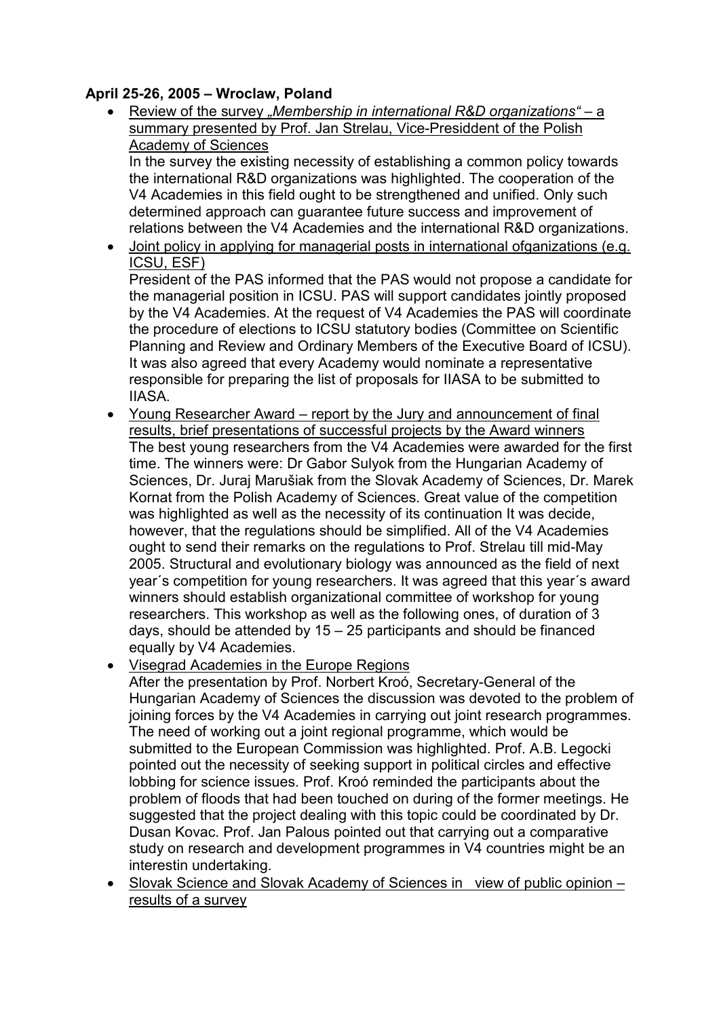## April 25-26, 2005 – Wroclaw, Poland

• Review of the survey "Membership in international R&D organizations" – a summary presented by Prof. Jan Strelau, Vice-Presiddent of the Polish Academy of Sciences

In the survey the existing necessity of establishing a common policy towards the international R&D organizations was highlighted. The cooperation of the V4 Academies in this field ought to be strengthened and unified. Only such determined approach can guarantee future success and improvement of relations between the V4 Academies and the international R&D organizations.

• Joint policy in applying for managerial posts in international ofganizations (e.g. ICSU, ESF)

President of the PAS informed that the PAS would not propose a candidate for the managerial position in ICSU. PAS will support candidates jointly proposed by the V4 Academies. At the request of V4 Academies the PAS will coordinate the procedure of elections to ICSU statutory bodies (Committee on Scientific Planning and Review and Ordinary Members of the Executive Board of ICSU). It was also agreed that every Academy would nominate a representative responsible for preparing the list of proposals for IIASA to be submitted to IIASA.

- Young Researcher Award report by the Jury and announcement of final results, brief presentations of successful projects by the Award winners The best young researchers from the V4 Academies were awarded for the first time. The winners were: Dr Gabor Sulyok from the Hungarian Academy of Sciences, Dr. Juraj Marušiak from the Slovak Academy of Sciences, Dr. Marek Kornat from the Polish Academy of Sciences. Great value of the competition was highlighted as well as the necessity of its continuation It was decide, however, that the regulations should be simplified. All of the V4 Academies ought to send their remarks on the regulations to Prof. Strelau till mid-May 2005. Structural and evolutionary biology was announced as the field of next year´s competition for young researchers. It was agreed that this year´s award winners should establish organizational committee of workshop for young researchers. This workshop as well as the following ones, of duration of 3 days, should be attended by 15 – 25 participants and should be financed equally by V4 Academies.
- Visegrad Academies in the Europe Regions

After the presentation by Prof. Norbert Kroó, Secretary-General of the Hungarian Academy of Sciences the discussion was devoted to the problem of joining forces by the V4 Academies in carrying out joint research programmes. The need of working out a joint regional programme, which would be submitted to the European Commission was highlighted. Prof. A.B. Legocki pointed out the necessity of seeking support in political circles and effective lobbing for science issues. Prof. Kroó reminded the participants about the problem of floods that had been touched on during of the former meetings. He suggested that the project dealing with this topic could be coordinated by Dr. Dusan Kovac. Prof. Jan Palous pointed out that carrying out a comparative study on research and development programmes in V4 countries might be an interestin undertaking.

• Slovak Science and Slovak Academy of Sciences in view of public opinion – results of a survey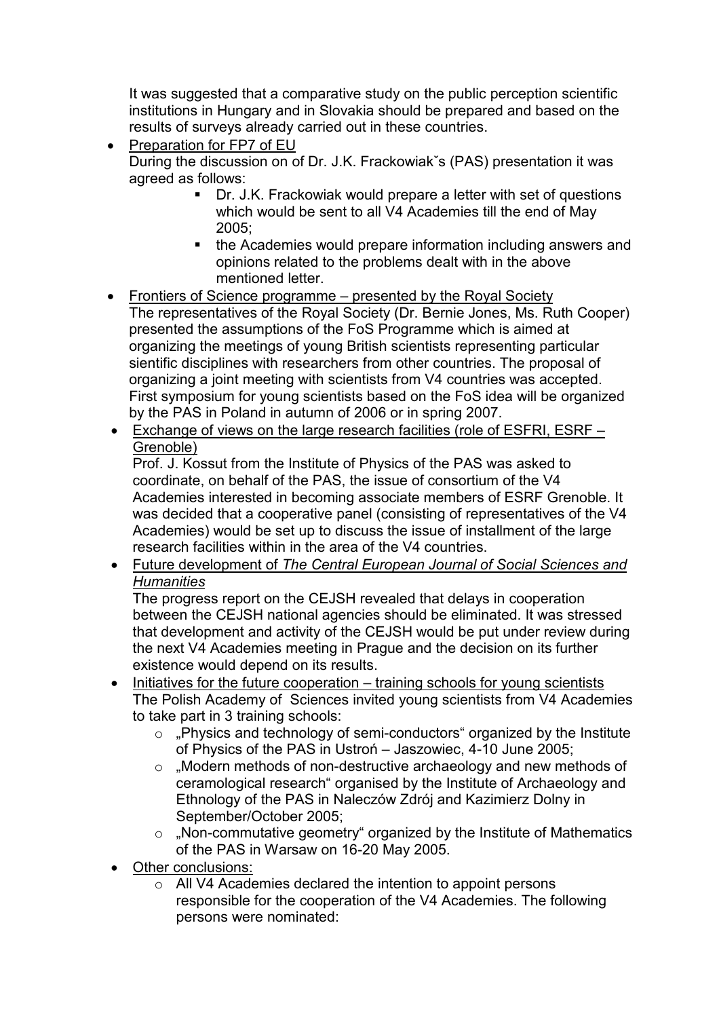It was suggested that a comparative study on the public perception scientific institutions in Hungary and in Slovakia should be prepared and based on the results of surveys already carried out in these countries.

- Preparation for FP7 of EU During the discussion on of Dr. J.K. Frackowiakˇs (PAS) presentation it was agreed as follows:
	- Dr. J.K. Frackowiak would prepare a letter with set of questions which would be sent to all V4 Academies till the end of May 2005;
	- the Academies would prepare information including answers and opinions related to the problems dealt with in the above mentioned letter.
- Frontiers of Science programme presented by the Royal Society The representatives of the Royal Society (Dr. Bernie Jones, Ms. Ruth Cooper) presented the assumptions of the FoS Programme which is aimed at organizing the meetings of young British scientists representing particular sientific disciplines with researchers from other countries. The proposal of organizing a joint meeting with scientists from V4 countries was accepted. First symposium for young scientists based on the FoS idea will be organized by the PAS in Poland in autumn of 2006 or in spring 2007.
- Exchange of views on the large research facilities (role of ESFRI, ESRF Grenoble)

Prof. J. Kossut from the Institute of Physics of the PAS was asked to coordinate, on behalf of the PAS, the issue of consortium of the V4 Academies interested in becoming associate members of ESRF Grenoble. It was decided that a cooperative panel (consisting of representatives of the V4 Academies) would be set up to discuss the issue of installment of the large research facilities within in the area of the V4 countries.

• Future development of The Central European Journal of Social Sciences and **Humanities** 

The progress report on the CEJSH revealed that delays in cooperation between the CEJSH national agencies should be eliminated. It was stressed that development and activity of the CEJSH would be put under review during the next V4 Academies meeting in Prague and the decision on its further existence would depend on its results.

- Initiatives for the future cooperation training schools for young scientists The Polish Academy of Sciences invited young scientists from V4 Academies to take part in 3 training schools:
	- $\circ$  . Physics and technology of semi-conductors "organized by the Institute of Physics of the PAS in Ustroń – Jaszowiec, 4-10 June 2005;
	- o "Modern methods of non-destructive archaeology and new methods of ceramological research" organised by the Institute of Archaeology and Ethnology of the PAS in Naleczów Zdrój and Kazimierz Dolny in September/October 2005;
	- $\circ$  "Non-commutative geometry" organized by the Institute of Mathematics of the PAS in Warsaw on 16-20 May 2005.
- Other conclusions:
	- o All V4 Academies declared the intention to appoint persons responsible for the cooperation of the V4 Academies. The following persons were nominated: